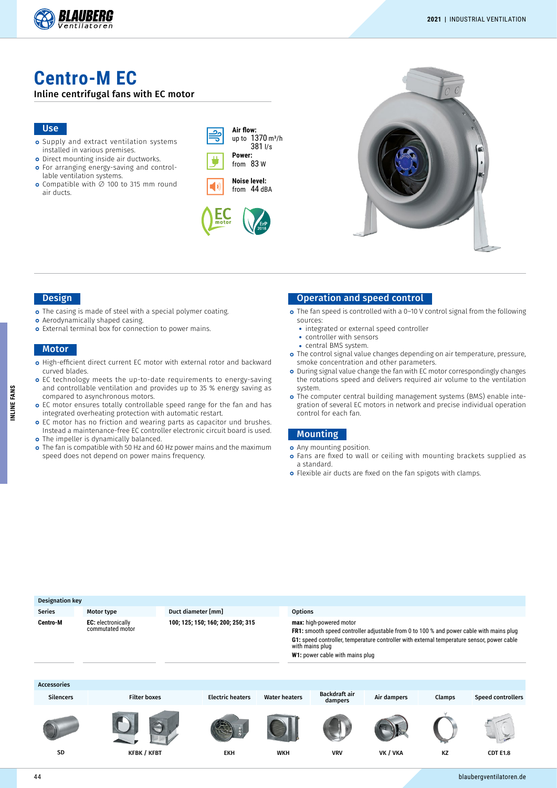

# **Centro-M EC**

#### Inline centrifugal fans with EC motor

#### Use

- o Supply and extract ventilation systems installed in various premises.
- o Direct mounting inside air ductworks. o For arranging energy-saving and control-
- lable ventilation systems. Compatible with ∅ 100 to 315 mm round
- air ducts.

| Air flow:<br>up to 1370 m <sup>3</sup> /h<br>3811/s |  |
|-----------------------------------------------------|--|
| Power:                                              |  |
| from 83 W                                           |  |

**Noise level:** from 44 dBA





### Design

- The casing is made of steel with a special polymer coating.
- **o** Aerodynamically shaped casing.
- o External terminal box for connection to power mains.

#### **Motor**

- High-efficient direct current EC motor with external rotor and backward curved blades.
- EC technology meets the up-to-date requirements to energy-saving and controllable ventilation and provides up to 35 % energy saving as compared to asynchronous motors.
- EC motor ensures totally controllable speed range for the fan and has integrated overheating protection with automatic restart.
- o EC motor has no friction and wearing parts as capacitor und brushes. Instead a maintenance-free EC controller electronic circuit board is used. o The impeller is dynamically balanced.
- The fan is compatible with 50 Hz and 60 Hz power mains and the maximum speed does not depend on power mains frequency.

### Operation and speed control

- o The fan speed is controlled with a 0-10 V control signal from the following sources:
	- **•** integrated or external speed controller
	- **•** controller with sensors
	- **•** central BMS system.
- The control signal value changes depending on air temperature, pressure, smoke concentration and other parameters.
- During signal value change the fan with EC motor correspondingly changes the rotations speed and delivers required air volume to the ventilation system.
- o The computer central building management systems (BMS) enable integration of several EC motors in network and precise individual operation control for each fan.

#### Mounting

- **o** Any mounting position.
- o Fans are fixed to wall or ceiling with mounting brackets supplied as a standard.
- o Flexible air ducts are fixed on the fan spigots with clamps.

| Designation key    |                                               |                                   |                         |                                                                                                                                                                                                                                                                               |                |                          |             |        |                   |  |  |  |
|--------------------|-----------------------------------------------|-----------------------------------|-------------------------|-------------------------------------------------------------------------------------------------------------------------------------------------------------------------------------------------------------------------------------------------------------------------------|----------------|--------------------------|-------------|--------|-------------------|--|--|--|
| <b>Series</b>      | Motor type                                    | Duct diameter [mm]                |                         |                                                                                                                                                                                                                                                                               | <b>Options</b> |                          |             |        |                   |  |  |  |
| Centro-M           | <b>EC:</b> electronically<br>commutated motor | 100; 125; 150; 160; 200; 250; 315 |                         | max: high-powered motor<br><b>FR1:</b> smooth speed controller adjustable from 0 to 100 % and power cable with mains plug<br>G1: speed controller, temperature controller with external temperature sensor, power cable<br>with mains plug<br>W1: power cable with mains plug |                |                          |             |        |                   |  |  |  |
| <b>Accessories</b> |                                               |                                   |                         |                                                                                                                                                                                                                                                                               |                |                          |             |        |                   |  |  |  |
| <b>Silencers</b>   | <b>Filter boxes</b>                           |                                   | <b>Electric heaters</b> | <b>Water heaters</b>                                                                                                                                                                                                                                                          |                | Backdraft air<br>dampers | Air dampers | Clamps | Speed controllers |  |  |  |
| <b>SD</b>          | <b>KFBK / KFBT</b>                            |                                   | <b>EKH</b>              | <b>WKH</b>                                                                                                                                                                                                                                                                    |                | <b>VRV</b>               | VK / VKA    | KZ     | <b>CDT E1.8</b>   |  |  |  |

INLINE FANS **INLINE FANS**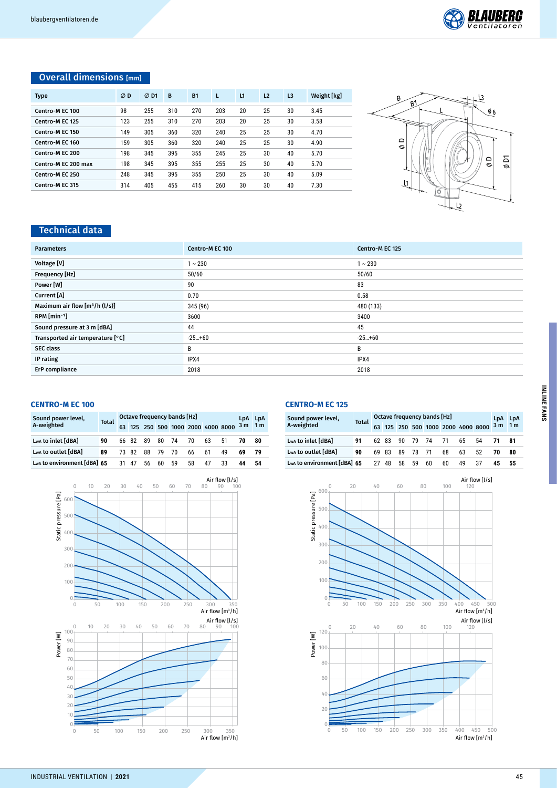

# Overall dimensions [mm]

| <b>Type</b>         | ØD  | $\varnothing$ D1 | B   | <b>B1</b> | L   | L1 | L <sub>2</sub> | L <sub>3</sub> | Weight [kg] |
|---------------------|-----|------------------|-----|-----------|-----|----|----------------|----------------|-------------|
| Centro-M EC 100     | 98  | 255              | 310 | 270       | 203 | 20 | 25             | 30             | 3.45        |
| Centro-M EC 125     | 123 | 255              | 310 | 270       | 203 | 20 | 25             | 30             | 3.58        |
| Centro-M EC 150     | 149 | 305              | 360 | 320       | 240 | 25 | 25             | 30             | 4.70        |
| Centro-M EC 160     | 159 | 305              | 360 | 320       | 240 | 25 | 25             | 30             | 4.90        |
| Centro-M EC 200     | 198 | 345              | 395 | 355       | 245 | 25 | 30             | 40             | 5.70        |
| Centro-M EC 200 max | 198 | 345              | 395 | 355       | 255 | 25 | 30             | 40             | 5.70        |
| Centro-M EC 250     | 248 | 345              | 395 | 355       | 250 | 25 | 30             | 40             | 5.09        |
| Centro-M EC 315     | 314 | 405              | 455 | 415       | 260 | 30 | 30             | 40             | 7.30        |



# Technical data

| <b>Parameters</b>                | Centro-M EC 100 | Centro-M EC 125 |
|----------------------------------|-----------------|-----------------|
| Voltage [V]                      | $1 - 230$       | $1 - 230$       |
| Frequency [Hz]                   | 50/60           | 50/60           |
| Power [W]                        | 90              | 83              |
| Current [A]                      | 0.70            | 0.58            |
| Maximum air flow $[m^3/h (l/s)]$ | 345 (96)        | 480 (133)       |
| $RPM$ [min <sup>-1</sup> ]       | 3600            | 3400            |
| Sound pressure at 3 m [dBA]      | 44              | 45              |
| Transported air temperature [°C] | $-25+60$        | $-25+60$        |
| <b>SEC class</b>                 | В               | B               |
| IP rating                        | IPX4            | IPX4            |
| ErP compliance                   | 2018            | 2018            |

#### **CENTRO-M EC 100**

| Sound power level,<br>A-weighted | <b>Total</b> |    | Octave frequency bands [Hz] |    |                |    |    |    |                                    |     |                |  |
|----------------------------------|--------------|----|-----------------------------|----|----------------|----|----|----|------------------------------------|-----|----------------|--|
|                                  |              |    |                             |    |                |    |    |    | 63 125 250 500 1000 2000 4000 8000 | 3 m | 1 <sub>m</sub> |  |
| Lwa to inlet [dBA]               | 90           |    | 66 82 89                    |    | 80 74          |    | 70 | 63 | 51                                 | 70  | 80             |  |
| Lwa to outlet [dBA]              | 89           |    |                             |    | 73 82 88 79 70 |    | 66 | 61 | 49                                 |     | -79            |  |
| Lwa to environment [dBA] 65      |              | 31 | -47                         | 56 | 60             | 59 | 58 | 47 | 33                                 | 44  | 54             |  |



**CENTRO-M EC 125**

| Sound power level,          | <b>Total</b> |    | Octave frequency bands [Hz] |    | LDA      | <b>LpA</b> |      |    |                                        |    |                |
|-----------------------------|--------------|----|-----------------------------|----|----------|------------|------|----|----------------------------------------|----|----------------|
| A-weighted                  |              |    |                             |    |          |            |      |    | 63 125 250 500 1000 2000 4000 8000 3 m |    | 1 <sub>m</sub> |
| Lwa to inlet [dBA]          | 91           |    | 62 83                       |    | 90 79 74 |            | - 71 | 65 | 54                                     |    | 81             |
| Lwa to outlet [dBA]         | 90           |    | 69 83                       | 89 | 78 71    |            | 68   | 63 | 52                                     | 70 | 80             |
| Lwa to environment [dBA] 65 |              | 27 | 48                          | 58 | 59       | 60         | 60   | 49 | 37                                     | 45 | 55             |

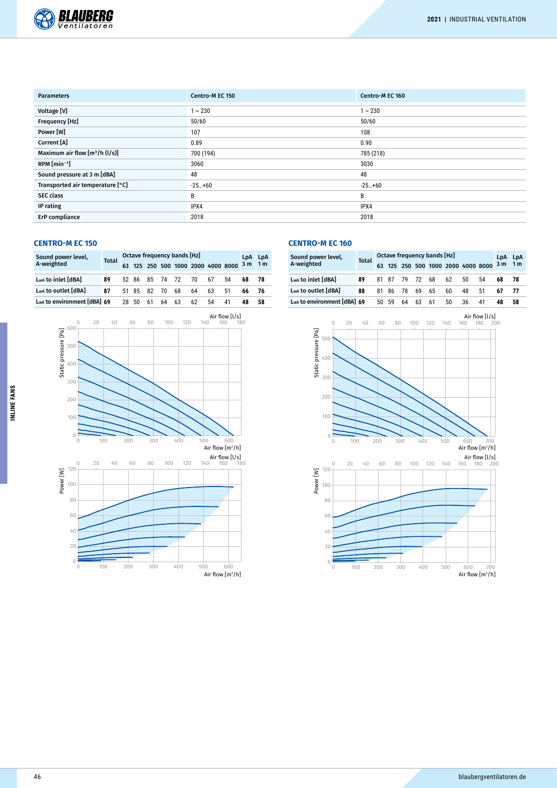

| <b>Parameters</b>                | Centro-M EC 150 | Centro-M EC 160 |
|----------------------------------|-----------------|-----------------|
| Voltage [V]                      | $1 - 230$       | $1 - 230$       |
| Frequency [Hz]                   | 50/60           | 50/60           |
| Power [W]                        | 107             | 108             |
| Current [A]                      | 0.89            | 0.90            |
| Maximum air flow $[m^3/h (l/s)]$ | 700 (194)       | 785 (218)       |
| RPM [min <sup>-1</sup> ]         | 3060            | 3030            |
| Sound pressure at 3 m [dBA]      | 48              | 48              |
| Transported air temperature [°C] | $-25+60$        | $-25+60$        |
| <b>SEC class</b>                 | В               | B               |
| IP rating                        | IPX4            | IPX4            |
| ErP compliance                   | 2018            | 2018            |

# **CENTRO-M EC 150**

| Sound power level,<br>A-weighted | <b>Total</b> | Octave frequency bands [Hz] |    | LpA LpA |                |                   |    |    |                                    |                |                |
|----------------------------------|--------------|-----------------------------|----|---------|----------------|-------------------|----|----|------------------------------------|----------------|----------------|
|                                  |              |                             |    |         |                |                   |    |    | 63 125 250 500 1000 2000 4000 8000 | 3 <sub>m</sub> | 1 <sub>m</sub> |
| Lwa to inlet [dBA]               | 89           |                             |    |         |                | 52 86 85 74 72 70 |    | 67 | 54                                 | 68             | - 78           |
| Lwa to outlet [dBA]              | 87           |                             |    |         | 51 85 82 70 68 |                   | 64 | 63 | 51                                 | 66.            | - 76           |
| Lwa to environment [dBA] 69      |              | 28.                         | 50 | 61      | 64             | 63                | 62 | 54 | 41                                 |                | 58             |



# **CENTRO-M EC 160**

| Sound power level,          | <b>Total</b> |    |    | Octave frequency bands [Hz]<br>63    125    250    500    1000    2000    4000    8000 | LpA   | <b>LpA</b>     |    |    |    |                |                |
|-----------------------------|--------------|----|----|----------------------------------------------------------------------------------------|-------|----------------|----|----|----|----------------|----------------|
| A-weighted                  |              |    |    |                                                                                        |       |                |    |    |    | 3 <sub>m</sub> | 1 <sub>m</sub> |
| Lwa to inlet [dBA]          | 89           |    |    |                                                                                        |       | 81 87 79 72 68 | 62 | 50 | 54 | 68             | -78            |
| Lwa to outlet [dBA]         | 88           |    |    | 81 86 78                                                                               | 69 65 |                | 60 | 48 | 51 | 67             |                |
| LwA to environment [dBA] 69 |              | 50 | 59 | 64                                                                                     | 63    | 61             | 50 | 36 | 41 | 48             | 58             |



**INLINE FANS**

INLINE FANS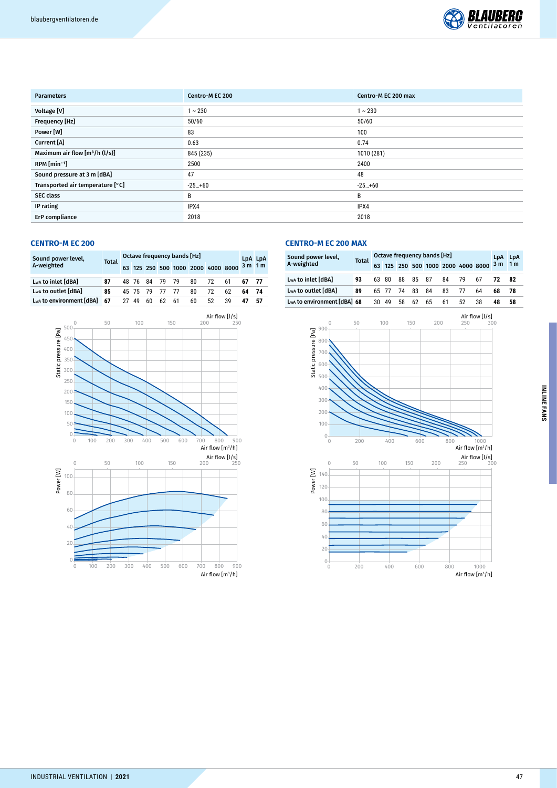

| <b>Parameters</b>                | Centro-M EC 200 | Centro-M EC 200 max |
|----------------------------------|-----------------|---------------------|
| Voltage [V]                      | $1 - 230$       | $1 - 230$           |
| Frequency [Hz]                   | 50/60           | 50/60               |
| Power [W]                        | 83              | 100                 |
| Current [A]                      | 0.63            | 0.74                |
| Maximum air flow $[m^3/h (l/s)]$ | 845 (235)       | 1010 (281)          |
| $RPM$ [min <sup>-1</sup> ]       | 2500            | 2400                |
| Sound pressure at 3 m [dBA]      | 47              | 48                  |
| Transported air temperature [°C] | $-25+60$        | $-25+60$            |
| <b>SEC class</b>                 | В               | B                   |
| IP rating                        | IPX4            | IPX4                |
| ErP compliance                   | 2018            | 2018                |

# **CENTRO-M EC 200**

| Sound power level,<br>A-weighted | <b>Total</b> |    | Octave frequency bands [Hz] |                |       |    |    |                                    |    |          |      |  |
|----------------------------------|--------------|----|-----------------------------|----------------|-------|----|----|------------------------------------|----|----------|------|--|
|                                  |              |    |                             |                |       |    |    | 63 125 250 500 1000 2000 4000 8000 |    | $3m$ 1 m |      |  |
| Lwa to inlet [dBA]               | 87           |    |                             | 48 76 84 79 79 |       |    | 80 | 72                                 | 61 | 67 77    |      |  |
| Lwa to outlet [dBA]              | 85           |    | 45 75 79                    |                | 77 77 |    | 80 | 72                                 | 62 | 64       | - 74 |  |
| Lwa to environment [dBA]         | 67           | 27 | 49                          | 60             | 62    | 61 | 60 | 52                                 | 39 |          | 57   |  |



## **CENTRO-M EC 200 MAX**

| Sound power level,          | <b>Total</b> |     | Octave frequency bands [Hz]<br>63 125 250 500 1000 2000 4000 8000 3 m |       |          |    |    |     |    |      |                |
|-----------------------------|--------------|-----|-----------------------------------------------------------------------|-------|----------|----|----|-----|----|------|----------------|
| A-weighted                  |              |     |                                                                       |       |          |    |    |     |    |      | 1 <sub>m</sub> |
| Lwa to inlet [dBA]          | 93           |     | 63 80                                                                 |       | 88 85 87 |    | 84 | 79  | 67 | - 72 | - 82           |
| Lwa to outlet [dBA]         | 89           |     | 65 77                                                                 | 74 83 |          | 84 | 83 | -77 | 64 | 68   | 78             |
| Lwa to environment [dBA] 68 |              | 30. | 49                                                                    | 58    | 62       | 65 | 61 | 52  | 38 | 48   | 58             |